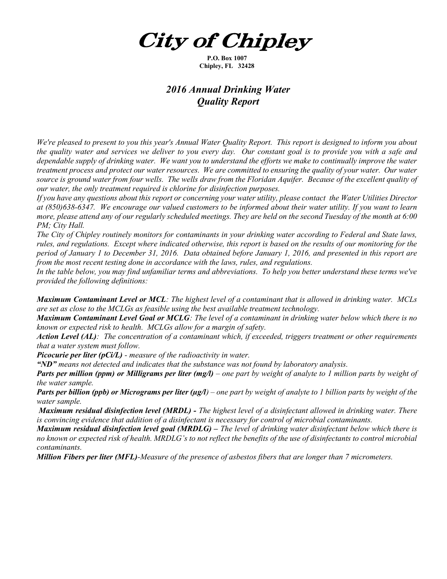*City of Chipley* 

P.O. Box 1007 Chipley, FL 32428

## 2016 Annual Drinking Water Quality Report

We're pleased to present to you this year's Annual Water Quality Report. This report is designed to inform you about the quality water and services we deliver to you every day. Our constant goal is to provide you with a safe and dependable supply of drinking water. We want you to understand the efforts we make to continually improve the water treatment process and protect our water resources. We are committed to ensuring the quality of your water. Our water source is ground water from four wells. The wells draw from the Floridan Aquifer. Because of the excellent quality of our water, the only treatment required is chlorine for disinfection purposes.

If you have any questions about this report or concerning your water utility, please contact the Water Utilities Director at (850)638-6347. We encourage our valued customers to be informed about their water utility. If you want to learn more, please attend any of our regularly scheduled meetings. They are held on the second Tuesday of the month at 6:00 PM; City Hall.

The City of Chipley routinely monitors for contaminants in your drinking water according to Federal and State laws, rules, and regulations. Except where indicated otherwise, this report is based on the results of our monitoring for the period of January 1 to December 31, 2016. Data obtained before January 1, 2016, and presented in this report are from the most recent testing done in accordance with the laws, rules, and regulations.

In the table below, you may find unfamiliar terms and abbreviations. To help you better understand these terms we've provided the following definitions:

Maximum Contaminant Level or MCL: The highest level of a contaminant that is allowed in drinking water. MCLs are set as close to the MCLGs as feasible using the best available treatment technology.

Maximum Contaminant Level Goal or MCLG: The level of a contaminant in drinking water below which there is no known or expected risk to health. MCLGs allow for a margin of safety.

Action Level (AL): The concentration of a contaminant which, if exceeded, triggers treatment or other requirements that a water system must follow.

**Picocurie per liter (pCi/L)** - measure of the radioactivity in water.

" $ND$ " means not detected and indicates that the substance was not found by laboratory analysis.

**Parts per million (ppm) or Milligrams per liter (mg/l)** – one part by weight of analyte to 1 million parts by weight of the water sample.

**Parts per billion (ppb) or Micrograms per liter (µg/l)** – one part by weight of analyte to 1 billion parts by weight of the water sample.

Maximum residual disinfection level (MRDL) - The highest level of a disinfectant allowed in drinking water. There is convincing evidence that addition of a disinfectant is necessary for control of microbial contaminants.

**Maximum residual disinfection level goal (MRDLG)** – The level of drinking water disinfectant below which there is no known or expected risk of health. MRDLG's to not reflect the benefits of the use of disinfectants to control microbial contaminants.

**Million Fibers per liter (MFL)-**Measure of the presence of asbestos fibers that are longer than 7 micrometers.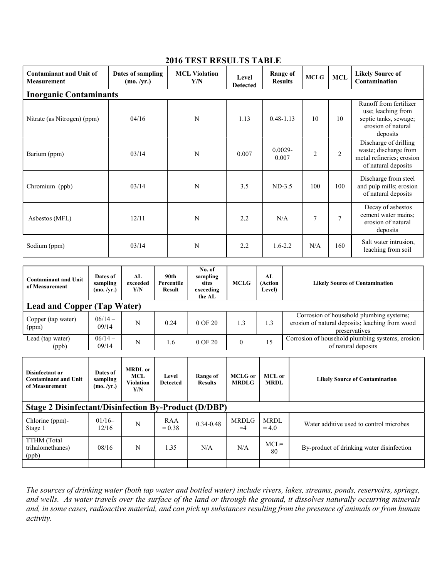| <b>Contaminant and Unit of</b><br><b>Measurement</b> | Dates of sampling<br>(mo. /yr.) | <b>MCL Violation</b><br>Y/N | <b>Level</b><br><b>Detected</b> | <b>Range of</b><br><b>Results</b> | <b>MCLG</b>    | <b>MCL</b>     | <b>Likely Source of</b><br>Contamination                                                                |  |  |  |
|------------------------------------------------------|---------------------------------|-----------------------------|---------------------------------|-----------------------------------|----------------|----------------|---------------------------------------------------------------------------------------------------------|--|--|--|
| <b>Inorganic Contaminants</b>                        |                                 |                             |                                 |                                   |                |                |                                                                                                         |  |  |  |
| Nitrate (as Nitrogen) (ppm)                          | 04/16                           | N                           | 1.13                            | $0.48 - 1.13$                     | 10             | 10             | Runoff from fertilizer<br>use; leaching from<br>septic tanks, sewage;<br>erosion of natural<br>deposits |  |  |  |
| Barium (ppm)                                         | 03/14                           | N                           | 0.007                           | $0.0029 -$<br>0.007               | $\overline{2}$ | $\overline{2}$ | Discharge of drilling<br>waste; discharge from<br>metal refineries; erosion<br>of natural deposits      |  |  |  |
| Chromium (ppb)                                       | 03/14                           | N                           | 3.5                             | $ND-3.5$                          | 100            | 100            | Discharge from steel<br>and pulp mills; erosion<br>of natural deposits                                  |  |  |  |
| Asbestos (MFL)                                       | 12/11                           | N                           | 2.2                             | N/A                               | $\overline{7}$ | $\overline{7}$ | Decay of asbestos<br>cement water mains;<br>erosion of natural<br>deposits                              |  |  |  |
| Sodium (ppm)                                         | 03/14                           | N                           | 2.2                             | $1.6 - 2.2$                       | N/A            | 160            | Salt water intrusion,<br>leaching from soil                                                             |  |  |  |

## 2016 TEST RESULTS TABLE

| <b>Contaminant and Unit</b><br>of Measurement | Dates of<br>sampling<br>(mo. /yr.) | AL.<br>exceeded<br>Y/N | 90th<br>Percentile<br>Result | No. of<br>sampling<br>sites<br>exceeding<br>the AL | <b>MCLG</b> | AL<br>(Action<br>Level) | <b>Likely Source of Contamination</b>                                                                        |  |
|-----------------------------------------------|------------------------------------|------------------------|------------------------------|----------------------------------------------------|-------------|-------------------------|--------------------------------------------------------------------------------------------------------------|--|
| <b>Lead and Copper (Tap Water)</b>            |                                    |                        |                              |                                                    |             |                         |                                                                                                              |  |
| Copper (tap water)<br>(ppm)                   | $06/14 -$<br>09/14                 | N                      | 0.24                         | $0$ OF $20$                                        | 1.3         | 1.3                     | Corrosion of household plumbing systems;<br>erosion of natural deposits; leaching from wood<br>preservatives |  |
| Lead (tap water)<br>(ppb)                     | $06/14 -$<br>09/14                 | N                      | 1.6                          | $0$ OF $20$                                        | $\Omega$    | 15                      | Corrosion of household plumbing systems, erosion<br>of natural deposits                                      |  |

| Disinfectant or<br><b>Contaminant and Unit</b><br>of Measurement | Dates of<br>sampling<br>(mo. /yr.) | <b>MRDL</b> or<br>MCL<br><b>Violation</b><br>Y/N | Level<br><b>Detected</b> | Range of<br><b>Results</b> | MCLG or<br><b>MRDLG</b> | MCL or<br><b>MRDL</b> | <b>Likely Source of Contamination</b>     |  |
|------------------------------------------------------------------|------------------------------------|--------------------------------------------------|--------------------------|----------------------------|-------------------------|-----------------------|-------------------------------------------|--|
| <b>Stage 2 Disinfectant/Disinfection By-Product (D/DBP)</b>      |                                    |                                                  |                          |                            |                         |                       |                                           |  |
| Chlorine (ppm)-<br>Stage 1                                       | $01/16-$<br>12/16                  | N                                                | RAA<br>$= 0.38$          | $0.34 - 0.48$              | <b>MRDLG</b><br>$=4$    | MRDL<br>$= 4.0$       | Water additive used to control microbes   |  |
| TTHM (Total<br>trihalomethanes)<br>(ppb)                         | 08/16                              | N                                                | 1.35                     | N/A                        | N/A                     | $MCL =$<br>80         | By-product of drinking water disinfection |  |
|                                                                  |                                    |                                                  |                          |                            |                         |                       |                                           |  |

The sources of drinking water (both tap water and bottled water) include rivers, lakes, streams, ponds, reservoirs, springs, and wells. As water travels over the surface of the land or through the ground, it dissolves naturally occurring minerals and, in some cases, radioactive material, and can pick up substances resulting from the presence of animals or from human activity.